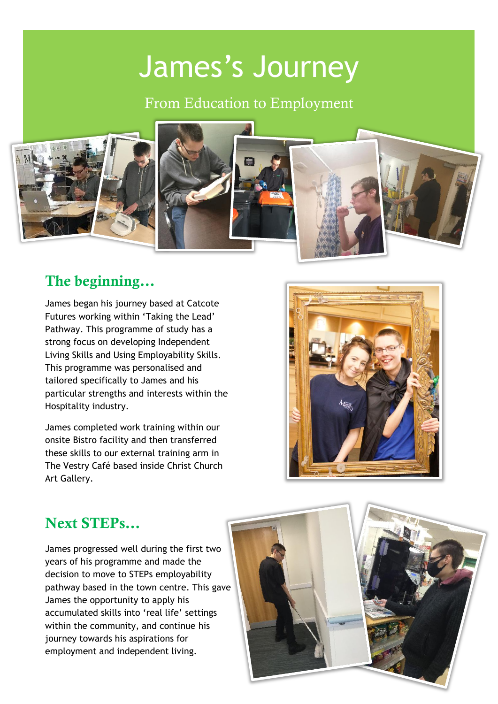# James's Journey

From Education to Employment



### The beginning…

James began his journey based at Catcote Futures working within 'Taking the Lead' Pathway. This programme of study has a strong focus on developing Independent Living Skills and Using Employability Skills. This programme was personalised and tailored specifically to James and his particular strengths and interests within the Hospitality industry.

James completed work training within our onsite Bistro facility and then transferred these skills to our external training arm in The Vestry Café based inside Christ Church Art Gallery.



# Next STEPs…

James progressed well during the first two years of his programme and made the decision to move to STEPs employability pathway based in the town centre. This gave James the opportunity to apply his accumulated skills into 'real life' settings within the community, and continue his journey towards his aspirations for employment and independent living.